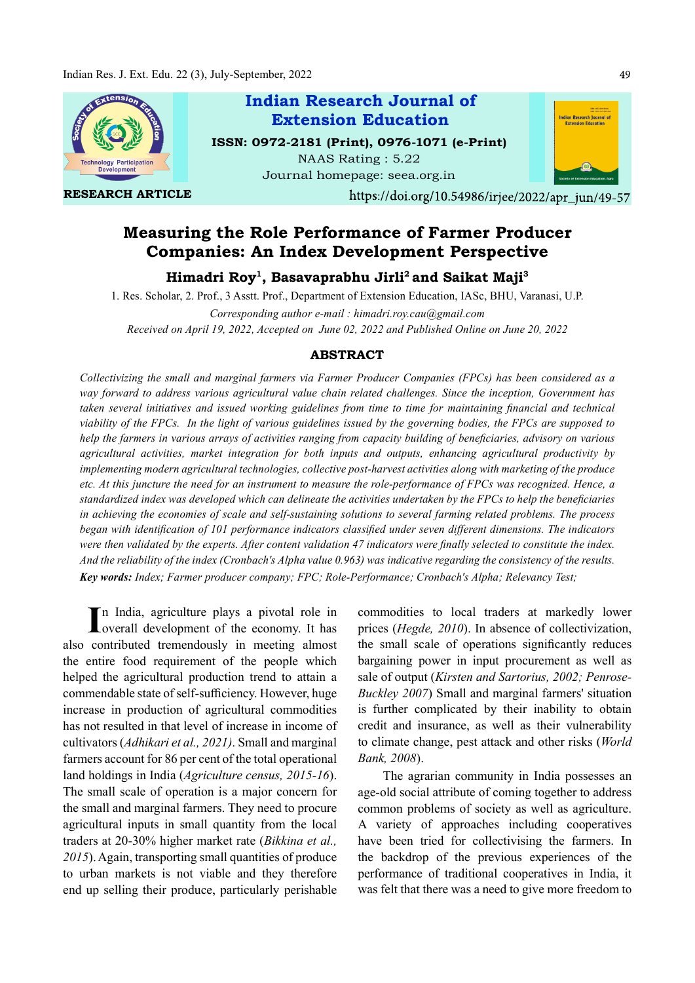

# Measuring the Role Performance of Farmer Producer Companies: An Index Development Perspective

Himadri Roy<sup>1</sup>, Basavaprabhu Jirli<sup>2</sup> and Saikat Maji<sup>3</sup>

1. Res. Scholar, 2. Prof., 3 Asstt. Prof., Department of Extension Education, IASc, BHU, Varanasi, U.P. Corresponding author e-mail : himadri.roy.cau@gmail.com Received on April 19, 2022, Accepted on June 02, 2022 and Published Online on June 20, 2022

### ABSTRACT

Collectivizing the small and marginal farmers via Farmer Producer Companies (FPCs) has been considered as a way forward to address various agricultural value chain related challenges. Since the inception, Government has taken several initiatives and issued working guidelines from time to time for maintaining financial and technical viability of the FPCs. In the light of various guidelines issued by the governing bodies, the FPCs are supposed to help the farmers in various arrays of activities ranging from capacity building of beneficiaries, advisory on various agricultural activities, market integration for both inputs and outputs, enhancing agricultural productivity by implementing modern agricultural technologies, collective post-harvest activities along with marketing of the produce etc. At this juncture the need for an instrument to measure the role-performance of FPCs was recognized. Hence, a standardized index was developed which can delineate the activities undertaken by the FPCs to help the beneficiaries in achieving the economies of scale and self-sustaining solutions to several farming related problems. The process began with identification of 101 performance indicators classified under seven different dimensions. The indicators were then validated by the experts. After content validation 47 indicators were finally selected to constitute the index. And the reliability of the index (Cronbach's Alpha value 0.963) was indicative regarding the consistency of the results. Key words: Index; Farmer producer company; FPC; Role-Performance; Cronbach's Alpha; Relevancy Test;

In India, agriculture plays a pivotal role in<br>
Loverall development of the economy. It has overall development of the economy. It has also contributed tremendously in meeting almost the entire food requirement of the people which helped the agricultural production trend to attain a commendable state of self-sufficiency. However, huge increase in production of agricultural commodities has not resulted in that level of increase in income of cultivators (Adhikari et al., 2021). Small and marginal farmers account for 86 per cent of the total operational land holdings in India (Agriculture census, 2015-16). The small scale of operation is a major concern for the small and marginal farmers. They need to procure agricultural inputs in small quantity from the local traders at 20-30% higher market rate (Bikkina et al., 2015). Again, transporting small quantities of produce to urban markets is not viable and they therefore end up selling their produce, particularly perishable

commodities to local traders at markedly lower prices (Hegde, 2010). In absence of collectivization, the small scale of operations significantly reduces bargaining power in input procurement as well as sale of output (Kirsten and Sartorius, 2002; Penrose-Buckley 2007) Small and marginal farmers' situation is further complicated by their inability to obtain credit and insurance, as well as their vulnerability to climate change, pest attack and other risks (World Bank, 2008).

The agrarian community in India possesses an age-old social attribute of coming together to address common problems of society as well as agriculture. A variety of approaches including cooperatives have been tried for collectivising the farmers. In the backdrop of the previous experiences of the performance of traditional cooperatives in India, it was felt that there was a need to give more freedom to

49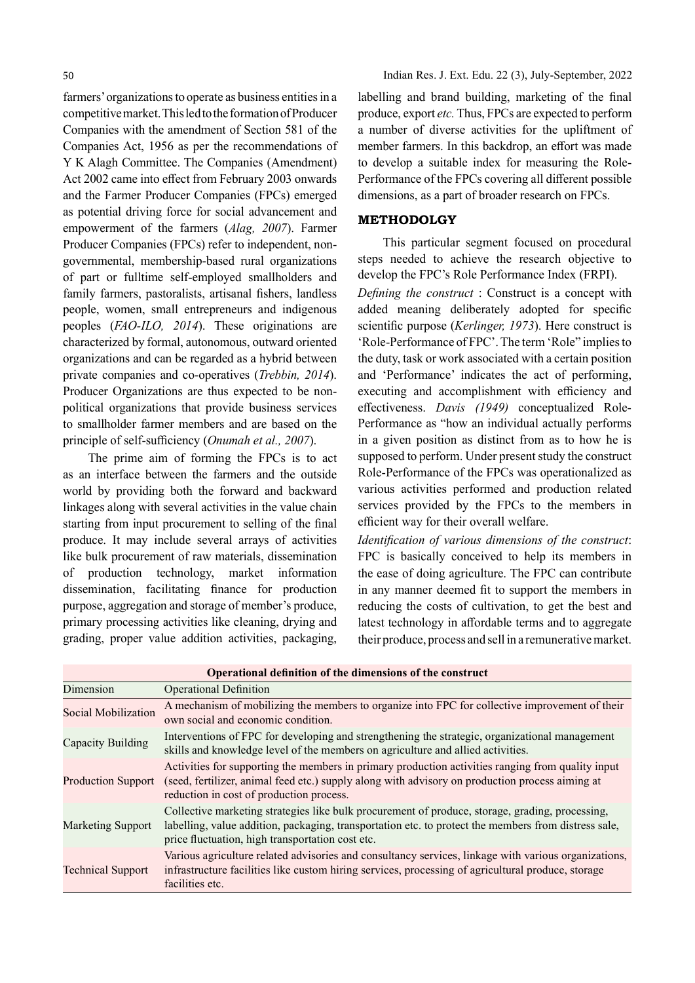farmers' organizations to operate as business entities in a competitive market. This led to the formation of Producer Companies with the amendment of Section 581 of the Companies Act, 1956 as per the recommendations of Y K Alagh Committee. The Companies (Amendment) Act 2002 came into effect from February 2003 onwards and the Farmer Producer Companies (FPCs) emerged as potential driving force for social advancement and empowerment of the farmers (Alag, 2007). Farmer Producer Companies (FPCs) refer to independent, nongovernmental, membership-based rural organizations of part or fulltime self-employed smallholders and family farmers, pastoralists, artisanal fishers, landless people, women, small entrepreneurs and indigenous peoples (FAO-ILO, 2014). These originations are characterized by formal, autonomous, outward oriented organizations and can be regarded as a hybrid between private companies and co-operatives (Trebbin, 2014). Producer Organizations are thus expected to be nonpolitical organizations that provide business services to smallholder farmer members and are based on the principle of self-sufficiency (Onumah et al., 2007).

The prime aim of forming the FPCs is to act as an interface between the farmers and the outside world by providing both the forward and backward linkages along with several activities in the value chain starting from input procurement to selling of the final produce. It may include several arrays of activities like bulk procurement of raw materials, dissemination of production technology, market information dissemination, facilitating finance for production purpose, aggregation and storage of member's produce, primary processing activities like cleaning, drying and grading, proper value addition activities, packaging,

Indian Res. J. Ext. Edu. 22 (3), July-September, 2022

labelling and brand building, marketing of the final produce, export etc. Thus, FPCs are expected to perform a number of diverse activities for the upliftment of member farmers. In this backdrop, an effort was made to develop a suitable index for measuring the Role-Performance of the FPCs covering all different possible dimensions, as a part of broader research on FPCs.

### METHODOLGY

This particular segment focused on procedural steps needed to achieve the research objective to develop the FPC's Role Performance Index (FRPI).

Defining the construct : Construct is a concept with added meaning deliberately adopted for specific scientific purpose (Kerlinger, 1973). Here construct is 'Role-Performance of FPC'. The term 'Role" implies to the duty, task or work associated with a certain position and 'Performance' indicates the act of performing, executing and accomplishment with efficiency and effectiveness. Davis (1949) conceptualized Role-Performance as "how an individual actually performs in a given position as distinct from as to how he is supposed to perform. Under present study the construct Role-Performance of the FPCs was operationalized as various activities performed and production related services provided by the FPCs to the members in efficient way for their overall welfare.

Identification of various dimensions of the construct: FPC is basically conceived to help its members in the ease of doing agriculture. The FPC can contribute in any manner deemed fit to support the members in reducing the costs of cultivation, to get the best and latest technology in affordable terms and to aggregate their produce, process and sell in a remunerative market.

| Operational definition of the dimensions of the construct |                                                                                                                                                                                                                                                             |  |  |  |  |
|-----------------------------------------------------------|-------------------------------------------------------------------------------------------------------------------------------------------------------------------------------------------------------------------------------------------------------------|--|--|--|--|
| Dimension                                                 | <b>Operational Definition</b>                                                                                                                                                                                                                               |  |  |  |  |
| Social Mobilization                                       | A mechanism of mobilizing the members to organize into FPC for collective improvement of their<br>own social and economic condition.                                                                                                                        |  |  |  |  |
| Capacity Building                                         | Interventions of FPC for developing and strengthening the strategic, organizational management<br>skills and knowledge level of the members on agriculture and allied activities.                                                                           |  |  |  |  |
| <b>Production Support</b>                                 | Activities for supporting the members in primary production activities ranging from quality input<br>(seed, fertilizer, animal feed etc.) supply along with advisory on production process aiming at<br>reduction in cost of production process.            |  |  |  |  |
| <b>Marketing Support</b>                                  | Collective marketing strategies like bulk procurement of produce, storage, grading, processing,<br>labelling, value addition, packaging, transportation etc. to protect the members from distress sale,<br>price fluctuation, high transportation cost etc. |  |  |  |  |
| <b>Technical Support</b>                                  | Various agriculture related advisories and consultancy services, linkage with various organizations,<br>infrastructure facilities like custom hiring services, processing of agricultural produce, storage<br>facilities etc.                               |  |  |  |  |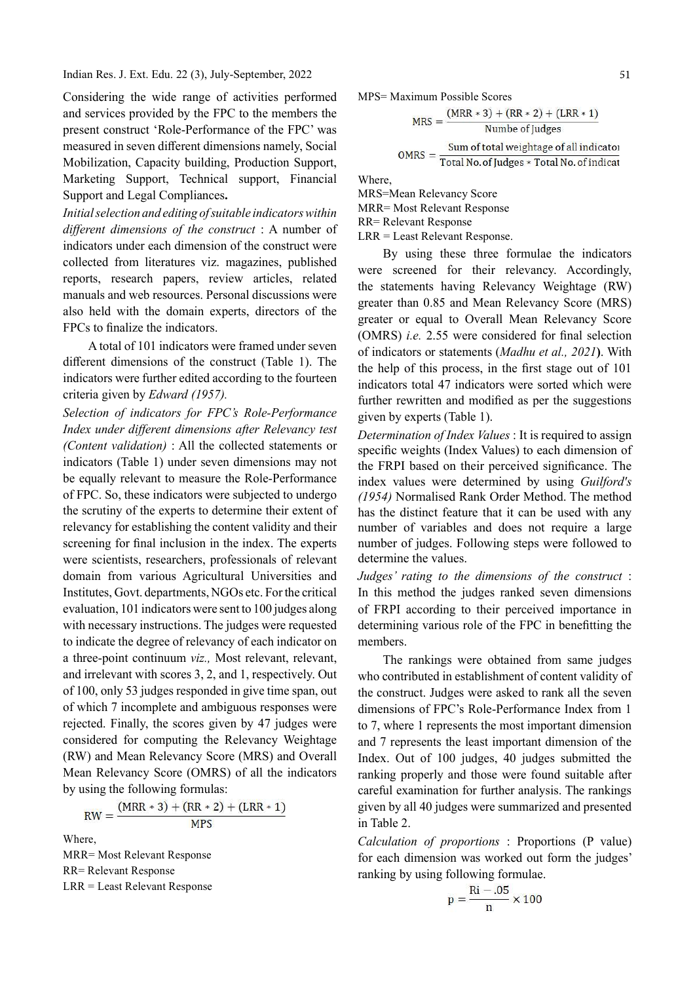Indian Res. J. Ext. Edu. 22 (3), July-September, 2022

Considering the wide range of activities performed<br>and Services provided by the FPC to the members the<br> $MPS = Maximum$  Possible Scores<br> $MPS = Maximum$  Possible Scores<br> $MPS = Maximum$  Possible Scores and services provided by the FPC to the members the present construct 'Role-Performance of the FPC' was measured in seven different dimensions namely, Social  $MRS = \frac{Sum of total weightage of all indicator  
Total No. of judges * Total No. of indicate$ Mobilization, Capacity building, Production Support, Marketing Support, Technical support, Financial Support and Legal Compliances.

Initial selection and editing of suitable indicators within different dimensions of the construct  $: A$  number of indicators under each dimension of the construct were collected from literatures viz. magazines, published reports, research papers, review articles, related manuals and web resources. Personal discussions were also held with the domain experts, directors of the FPCs to finalize the indicators.

A total of 101 indicators were framed under seven different dimensions of the construct (Table 1). The indicators were further edited according to the fourteen criteria given by Edward (1957).

Selection of indicators for FPC's Role-Performance Index under different dimensions after Relevancy test (Content validation) : All the collected statements or indicators (Table 1) under seven dimensions may not be equally relevant to measure the Role-Performance of FPC. So, these indicators were subjected to undergo the scrutiny of the experts to determine their extent of relevancy for establishing the content validity and their screening for final inclusion in the index. The experts were scientists, researchers, professionals of relevant domain from various Agricultural Universities and Institutes, Govt. departments, NGOs etc. For the critical evaluation, 101 indicators were sent to 100 judges along with necessary instructions. The judges were requested to indicate the degree of relevancy of each indicator on a three-point continuum viz., Most relevant, relevant, and irrelevant with scores 3, 2, and 1, respectively. Out of 100, only 53 judges responded in give time span, out of which 7 incomplete and ambiguous responses were rejected. Finally, the scores given by 47 judges were considered for computing the Relevancy Weightage (RW) and Mean Relevancy Score (MRS) and Overall Mean Relevancy Score (OMRS) of all the indicators by using the following formulas:

$$
RW = \frac{(MRR * 3) + (RR * 2) + (LRR * 1)}{MPS}
$$

Where, MRR= Most Relevant Response RR= Relevant Response LRR = Least Relevant Response Where,

MRS=Mean Relevancy Score MRR= Most Relevant Response RR= Relevant Response LRR = Least Relevant Response.

By using these three formulae the indicators were screened for their relevancy. Accordingly, the statements having Relevancy Weightage (RW) greater than 0.85 and Mean Relevancy Score (MRS) greater or equal to Overall Mean Relevancy Score (OMRS) *i.e.* 2.55 were considered for final selection of indicators or statements (Madhu et al., 2021). With the help of this process, in the first stage out of  $101$ indicators total 47 indicators were sorted which were further rewritten and modified as per the suggestions given by experts (Table 1).

Determination of Index Values : It is required to assign specific weights (Index Values) to each dimension of the FRPI based on their perceived significance. The index values were determined by using Guilford's (1954) Normalised Rank Order Method. The method has the distinct feature that it can be used with any number of variables and does not require a large number of judges. Following steps were followed to determine the values.

Judges' rating to the dimensions of the construct : In this method the judges ranked seven dimensions of FRPI according to their perceived importance in determining various role of the FPC in benefitting the members.

The rankings were obtained from same judges who contributed in establishment of content validity of the construct. Judges were asked to rank all the seven dimensions of FPC's Role-Performance Index from 1 to 7, where 1 represents the most important dimension and 7 represents the least important dimension of the Index. Out of 100 judges, 40 judges submitted the ranking properly and those were found suitable after careful examination for further analysis. The rankings given by all 40 judges were summarized and presented in Table 2.

Calculation of proportions : Proportions (P value) for each dimension was worked out form the judges' ranking by using following formulae.

$$
p=\frac{Ri-.05}{n}\times 100
$$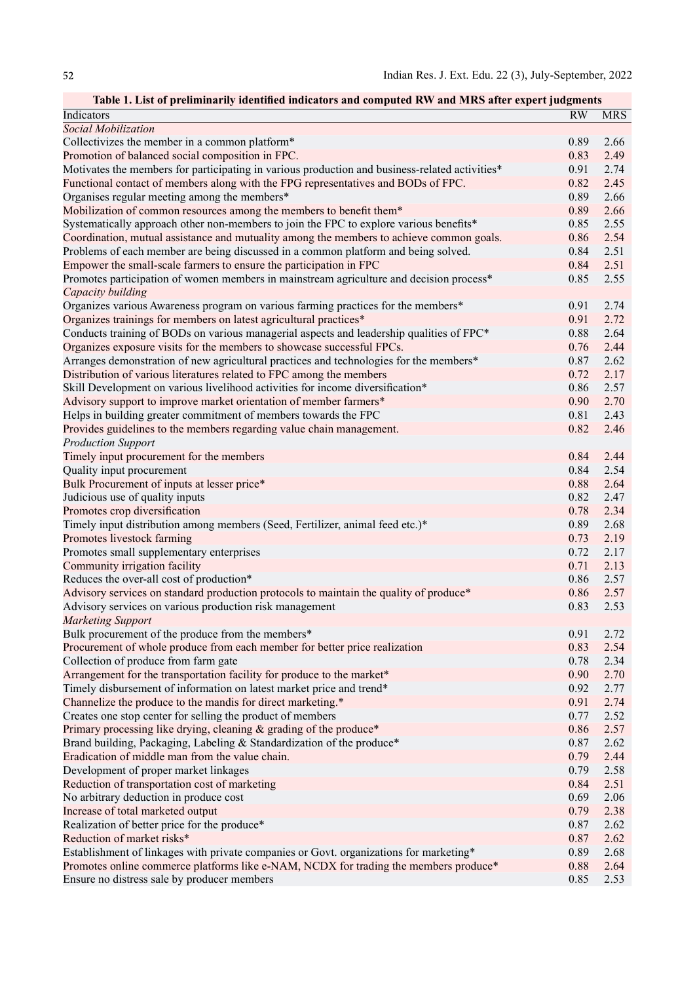| Table 1. List of preliminarily identified indicators and computed RW and MRS after expert judgments |      |            |
|-----------------------------------------------------------------------------------------------------|------|------------|
| Indicators                                                                                          | RW   | <b>MRS</b> |
| Social Mobilization                                                                                 |      |            |
| Collectivizes the member in a common platform*                                                      | 0.89 | 2.66       |
| Promotion of balanced social composition in FPC.                                                    | 0.83 | 2.49       |
| Motivates the members for participating in various production and business-related activities*      | 0.91 | 2.74       |
| Functional contact of members along with the FPG representatives and BODs of FPC.                   | 0.82 | 2.45       |
| Organises regular meeting among the members*                                                        | 0.89 | 2.66       |
| Mobilization of common resources among the members to benefit them*                                 | 0.89 | 2.66       |
| Systematically approach other non-members to join the FPC to explore various benefits*              | 0.85 | 2.55       |
| Coordination, mutual assistance and mutuality among the members to achieve common goals.            | 0.86 | 2.54       |
| Problems of each member are being discussed in a common platform and being solved.                  | 0.84 | 2.51       |
| Empower the small-scale farmers to ensure the participation in FPC                                  | 0.84 | 2.51       |
| Promotes participation of women members in mainstream agriculture and decision process*             | 0.85 | 2.55       |
| Capacity building                                                                                   |      |            |
| Organizes various Awareness program on various farming practices for the members*                   | 0.91 | 2.74       |
| Organizes trainings for members on latest agricultural practices*                                   | 0.91 | 2.72       |
| Conducts training of BODs on various managerial aspects and leadership qualities of FPC*            | 0.88 | 2.64       |
| Organizes exposure visits for the members to showcase successful FPCs.                              | 0.76 | 2.44       |
| Arranges demonstration of new agricultural practices and technologies for the members*              | 0.87 | 2.62       |
| Distribution of various literatures related to FPC among the members                                | 0.72 | 2.17       |
| Skill Development on various livelihood activities for income diversification*                      | 0.86 | 2.57       |
| Advisory support to improve market orientation of member farmers*                                   | 0.90 | 2.70       |
| Helps in building greater commitment of members towards the FPC                                     | 0.81 | 2.43       |
| Provides guidelines to the members regarding value chain management.                                | 0.82 | 2.46       |
| <b>Production Support</b>                                                                           |      |            |
| Timely input procurement for the members                                                            | 0.84 | 2.44       |
| Quality input procurement                                                                           | 0.84 | 2.54       |
| Bulk Procurement of inputs at lesser price*                                                         | 0.88 | 2.64       |
| Judicious use of quality inputs                                                                     | 0.82 | 2.47       |
| Promotes crop diversification                                                                       | 0.78 | 2.34       |
| Timely input distribution among members (Seed, Fertilizer, animal feed etc.)*                       | 0.89 | 2.68       |
| Promotes livestock farming                                                                          | 0.73 | 2.19       |
| Promotes small supplementary enterprises                                                            | 0.72 | 2.17       |
| Community irrigation facility                                                                       | 0.71 | 2.13       |
| Reduces the over-all cost of production*                                                            | 0.86 | 2.57       |
| Advisory services on standard production protocols to maintain the quality of produce*              | 0.86 | 2.57       |
| Advisory services on various production risk management                                             | 0.83 | 2.53       |
| <b>Marketing Support</b>                                                                            |      |            |
| Bulk procurement of the produce from the members*                                                   | 0.91 | 2.72       |
| Procurement of whole produce from each member for better price realization                          | 0.83 | 2.54       |
| Collection of produce from farm gate                                                                | 0.78 | 2.34       |
| Arrangement for the transportation facility for produce to the market*                              | 0.90 | 2.70       |
| Timely disbursement of information on latest market price and trend*                                | 0.92 | 2.77       |
| Channelize the produce to the mandis for direct marketing.*                                         | 0.91 | 2.74       |
| Creates one stop center for selling the product of members                                          | 0.77 | 2.52       |
| Primary processing like drying, cleaning & grading of the produce*                                  | 0.86 | 2.57       |
| Brand building, Packaging, Labeling & Standardization of the produce*                               | 0.87 | 2.62       |
| Eradication of middle man from the value chain.                                                     | 0.79 | 2.44       |
| Development of proper market linkages                                                               | 0.79 | 2.58       |
| Reduction of transportation cost of marketing                                                       | 0.84 | 2.51       |
| No arbitrary deduction in produce cost                                                              | 0.69 | 2.06       |
| Increase of total marketed output                                                                   | 0.79 | 2.38       |
| Realization of better price for the produce*                                                        | 0.87 | 2.62       |
| Reduction of market risks*                                                                          | 0.87 | 2.62       |
| Establishment of linkages with private companies or Govt. organizations for marketing*              | 0.89 | 2.68       |
| Promotes online commerce platforms like e-NAM, NCDX for trading the members produce*                | 0.88 | 2.64       |
| Ensure no distress sale by producer members                                                         | 0.85 | 2.53       |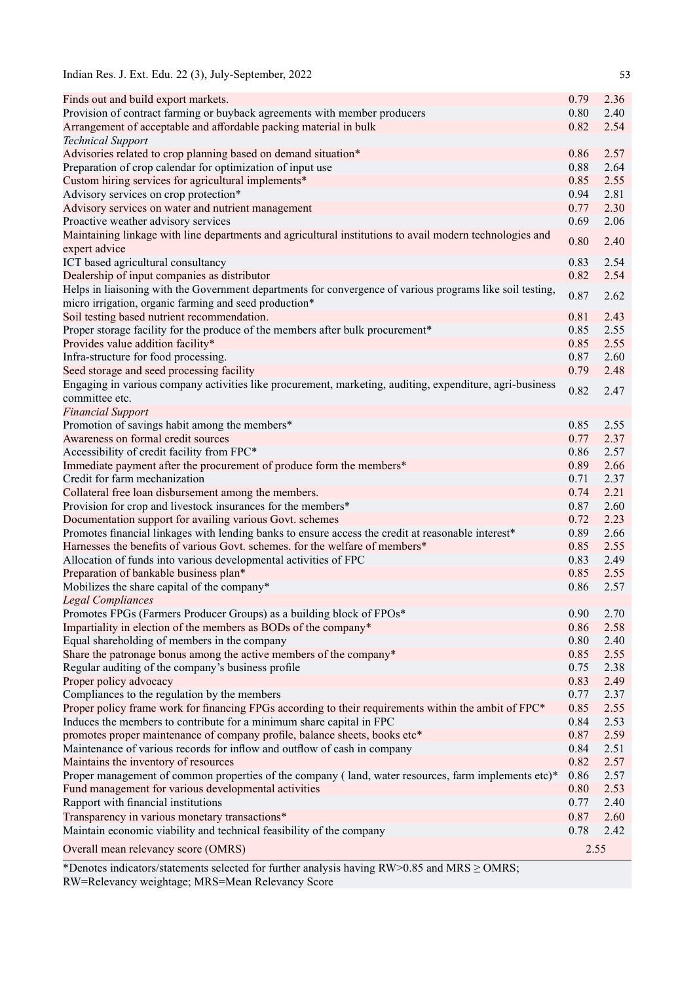| Indian Res. J. Ext. Edu. 22 (3), July-September, 2022 |  |  |  |  |  |  |  |  |
|-------------------------------------------------------|--|--|--|--|--|--|--|--|
|-------------------------------------------------------|--|--|--|--|--|--|--|--|

| Finds out and build export markets.                                                                        | 0.79      | 2.36 |
|------------------------------------------------------------------------------------------------------------|-----------|------|
| Provision of contract farming or buyback agreements with member producers                                  | 0.80      | 2.40 |
| Arrangement of acceptable and affordable packing material in bulk                                          | 0.82      | 2.54 |
| <b>Technical Support</b>                                                                                   |           |      |
| Advisories related to crop planning based on demand situation*                                             | 0.86      | 2.57 |
| Preparation of crop calendar for optimization of input use                                                 | 0.88      | 2.64 |
| Custom hiring services for agricultural implements*                                                        | 0.85      | 2.55 |
| Advisory services on crop protection*                                                                      | 0.94      | 2.81 |
| Advisory services on water and nutrient management                                                         | 0.77      | 2.30 |
| Proactive weather advisory services                                                                        | 0.69      | 2.06 |
| Maintaining linkage with line departments and agricultural institutions to avail modern technologies and   | 0.80      | 2.40 |
| expert advice                                                                                              |           |      |
| ICT based agricultural consultancy                                                                         | 0.83      | 2.54 |
| Dealership of input companies as distributor                                                               | 0.82      | 2.54 |
| Helps in liaisoning with the Government departments for convergence of various programs like soil testing, | 0.87      | 2.62 |
| micro irrigation, organic farming and seed production*                                                     |           |      |
| Soil testing based nutrient recommendation.                                                                | 0.81      | 2.43 |
| Proper storage facility for the produce of the members after bulk procurement*                             | 0.85      | 2.55 |
| Provides value addition facility*                                                                          | 0.85      | 2.55 |
| Infra-structure for food processing.                                                                       | 0.87      | 2.60 |
| Seed storage and seed processing facility                                                                  | 0.79      | 2.48 |
| Engaging in various company activities like procurement, marketing, auditing, expenditure, agri-business   | 0.82      | 2.47 |
| committee etc.                                                                                             |           |      |
| <b>Financial Support</b>                                                                                   |           |      |
| Promotion of savings habit among the members*                                                              | 0.85      | 2.55 |
| Awareness on formal credit sources                                                                         | 0.77      | 2.37 |
| Accessibility of credit facility from FPC*                                                                 | 0.86      | 2.57 |
| Immediate payment after the procurement of produce form the members*                                       | 0.89      | 2.66 |
| Credit for farm mechanization                                                                              | 0.71      | 2.37 |
| Collateral free loan disbursement among the members.                                                       | 0.74      | 2.21 |
| Provision for crop and livestock insurances for the members*                                               | 0.87      | 2.60 |
| Documentation support for availing various Govt. schemes                                                   | 0.72      | 2.23 |
| Promotes financial linkages with lending banks to ensure access the credit at reasonable interest*         | 0.89      | 2.66 |
| Harnesses the benefits of various Govt. schemes. for the welfare of members*                               | 0.85      | 2.55 |
| Allocation of funds into various developmental activities of FPC                                           | 0.83      | 2.49 |
| Preparation of bankable business plan*                                                                     | 0.85      | 2.55 |
| Mobilizes the share capital of the company*                                                                | 0.86      | 2.57 |
| <b>Legal Compliances</b>                                                                                   |           |      |
| Promotes FPGs (Farmers Producer Groups) as a building block of FPOs*                                       | 0.90 2.70 |      |
| Impartiality in election of the members as BODs of the company*                                            | 0.86      | 2.58 |
| Equal shareholding of members in the company                                                               | 0.80      | 2.40 |
| Share the patronage bonus among the active members of the company*                                         | 0.85      | 2.55 |
| Regular auditing of the company's business profile                                                         | 0.75      | 2.38 |
| Proper policy advocacy                                                                                     | 0.83      | 2.49 |
| Compliances to the regulation by the members                                                               | 0.77      | 2.37 |
| Proper policy frame work for financing FPGs according to their requirements within the ambit of FPC*       | 0.85      | 2.55 |
| Induces the members to contribute for a minimum share capital in FPC                                       | 0.84      | 2.53 |
| promotes proper maintenance of company profile, balance sheets, books etc*                                 | 0.87      | 2.59 |
| Maintenance of various records for inflow and outflow of cash in company                                   | 0.84      | 2.51 |
| Maintains the inventory of resources                                                                       | 0.82      | 2.57 |
| Proper management of common properties of the company (land, water resources, farm implements etc)*        | 0.86      | 2.57 |
| Fund management for various developmental activities                                                       | 0.80      | 2.53 |
| Rapport with financial institutions                                                                        | 0.77      | 2.40 |
| Transparency in various monetary transactions*                                                             | 0.87      | 2.60 |
| Maintain economic viability and technical feasibility of the company                                       | 0.78      | 2.42 |
|                                                                                                            |           |      |
| Overall mean relevancy score (OMRS)                                                                        | 2.55      |      |

\*Denotes indicators/statements selected for further analysis having RW>0.85 and MRS ≥ OMRS; RW=Relevancy weightage; MRS=Mean Relevancy Score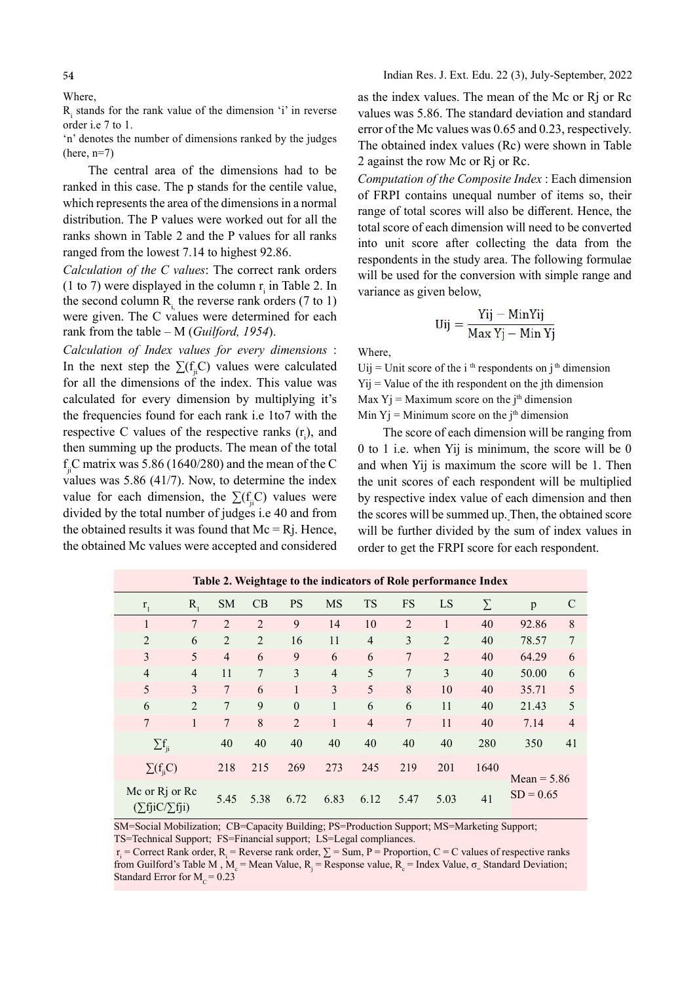54

Where,

Ri stands for the rank value of the dimension 'i' in reverse order i.e 7 to 1.

'n' denotes the number of dimensions ranked by the judges  $(here, n=7)$ 

The central area of the dimensions had to be ranked in this case. The p stands for the centile value, which represents the area of the dimensions in a normal distribution. The P values were worked out for all the ranks shown in Table 2 and the P values for all ranks ranged from the lowest 7.14 to highest 92.86.

Calculation of the C values: The correct rank orders (1 to 7) were displayed in the column  $r_i$  in Table 2. In the second column R<sub>i</sub> the reverse rank orders  $(7 \text{ to } 1)$ were given. The C values were determined for each rank from the table – M (Guilford, 1954).

Calculation of Index values for every dimensions : In the next step the  $\Sigma(f_i|C)$  values were calculated for all the dimensions of the index. This value was calculated for every dimension by multiplying it's the frequencies found for each rank i.e 1to7 with the respective C values of the respective ranks  $(r<sub>i</sub>)$ , and then summing up the products. The mean of the total  $f_{ji}$ C matrix was 5.86 (1640/280) and the mean of the C values was 5.86 (41/7). Now, to determine the index value for each dimension, the  $\Sigma(f_i, C)$  values were divided by the total number of judges i.e 40 and from the obtained results it was found that  $Mc = Ri$ . Hence, the obtained Mc values were accepted and considered

as the index values. The mean of the Mc or Rj or Rc values was 5.86. The standard deviation and standard error of the Mc values was 0.65 and 0.23, respectively. The obtained index values (Rc) were shown in Table 2 against the row Mc or Rj or Rc.

Indian Res. J. Ext. Edu. 22 (3), July-September, 2022

Computation of the Composite Index : Each dimension of FRPI contains unequal number of items so, their range of total scores will also be different. Hence, the total score of each dimension will need to be converted into unit score after collecting the data from the respondents in the study area. The following formulae will be used for the conversion with simple range and variance as given below,

$$
Uij = \frac{Yij - MinYij}{Max Yj - Min Yj}
$$

Where,

 $U_{ij} = U_{\text{init}}$  score of the i<sup>th</sup> respondents on j<sup>th</sup> dimension  $Yij =$  Value of the ith respondent on the jth dimension Max  $Yj$  = Maximum score on the j<sup>th</sup> dimension Min  $Yj$  = Minimum score on the j<sup>th</sup> dimension

The score of each dimension will be ranging from 0 to 1 i.e. when Yij is minimum, the score will be 0 and when Yij is maximum the score will be 1. Then the unit scores of each respondent will be multiplied by respective index value of each dimension and then the scores will be summed up. Then, the obtained score will be further divided by the sum of index values in order to get the FRPI score for each respondent.

|                                             |                |                |                |                  |                |                |                | Table 2. Weightage to the multators of fore performance much |        |               |                |
|---------------------------------------------|----------------|----------------|----------------|------------------|----------------|----------------|----------------|--------------------------------------------------------------|--------|---------------|----------------|
| $r_{1}$                                     | $R_{1}$        | <b>SM</b>      | CB             | <b>PS</b>        | <b>MS</b>      | <b>TS</b>      | <b>FS</b>      | LS                                                           | $\sum$ | p             | $\mathcal{C}$  |
| $\mathbf{1}$                                | 7              | 2              | 2              | 9                | 14             | 10             | 2              | 1                                                            | 40     | 92.86         | 8              |
| $\overline{2}$                              | 6              | 2              | 2              | 16               | 11             | $\overline{4}$ | 3              | 2                                                            | 40     | 78.57         | 7              |
| 3                                           | 5              | $\overline{4}$ | 6              | 9                | 6              | 6              | $\overline{7}$ | 2                                                            | 40     | 64.29         | 6              |
| $\overline{4}$                              | $\overline{4}$ | 11             | $\overline{7}$ | 3                | $\overline{4}$ | 5              | $\tau$         | 3                                                            | 40     | 50.00         | 6              |
| 5                                           | 3              | 7              | 6              | $\mathbf{1}$     | 3              | 5              | 8              | 10                                                           | 40     | 35.71         | 5              |
| 6                                           | 2              | 7              | 9              | $\boldsymbol{0}$ | 1              | 6              | 6              | 11                                                           | 40     | 21.43         | 5              |
| 7                                           | $\mathbf{1}$   | 7              | $8\,$          | $\overline{2}$   | $\mathbf{1}$   | $\overline{4}$ | 7              | 11                                                           | 40     | 7.14          | $\overline{4}$ |
| $\sum f_{ii}$                               |                | 40             | 40             | 40               | 40             | 40             | 40             | 40                                                           | 280    | 350           | 41             |
| $\sum(f_i C)$                               |                | 218            | 215            | 269              | 273            | 245            | 219            | 201                                                          | 1640   | Mean = $5.86$ |                |
| Mc or Rj or Rc<br>$(\sum$ fjiC/ $\sum$ fji) |                | 5.45           | 5.38           | 6.72             | 6.83           | 6.12           | 5.47           | 5.03                                                         | 41     | $SD = 0.65$   |                |

Table 2. Weightage to the indicators of Role performance Index

SM=Social Mobilization; CB=Capacity Building; PS=Production Support; MS=Marketing Support; TS=Technical Support; FS=Financial support; LS=Legal compliances.

 $r_i$  = Correct Rank order,  $R_i$  = Reverse rank order,  $\Sigma$  = Sum, P = Proportion, C = C values of respective ranks from Guilford's Table M,  $M_c$  = Mean Value,  $R_i$  = Response value,  $R_c$  = Index Value,  $\sigma_{\rm m}$  Standard Deviation; Standard Error for  $M_c = 0.23$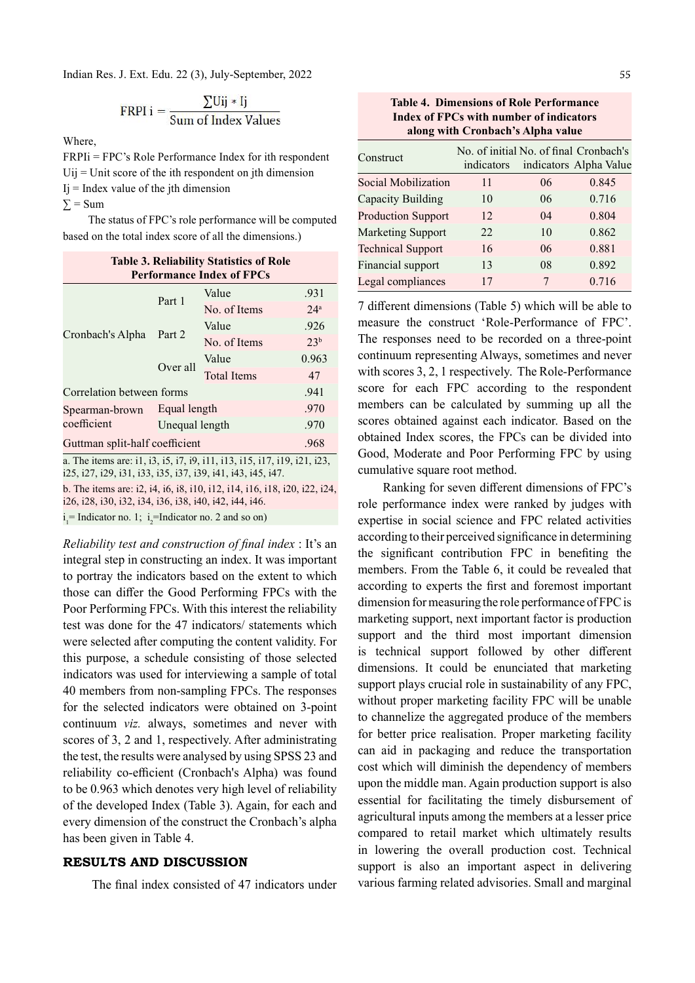Indian Res. J. Ext. Edu. 22 (3), July-September, 2022

FRPI i = 
$$
\frac{\sum \text{Uij} * \text{Ij}}{\text{Sum of Index Values}}
$$

Where,

FRPIi = FPC's Role Performance Index for ith respondent  $Uij =$  Unit score of the ith respondent on jth dimension  $Ij$  = Index value of the jth dimension

 $\Sigma$  = Sum

The status of FPC's role performance will be computed based on the total index score of all the dimensions.)

| <b>Table 3. Reliability Statistics of Role</b> |                |                    |                  |  |  |  |
|------------------------------------------------|----------------|--------------------|------------------|--|--|--|
| <b>Performance Index of FPCs</b>               |                |                    |                  |  |  |  |
|                                                | Part 1         | Value              | .931             |  |  |  |
| Cronbach's Alpha Part 2                        |                | No. of Items       | 2.4 <sup>a</sup> |  |  |  |
|                                                |                | Value              | .926             |  |  |  |
|                                                |                | No. of Items       | 2.3 <sup>b</sup> |  |  |  |
|                                                |                | Value              | 0.963            |  |  |  |
|                                                | Over all       | <b>Total Items</b> | 47               |  |  |  |
| Correlation between forms                      |                |                    |                  |  |  |  |
| Spearman-brown                                 | Equal length   | .970               |                  |  |  |  |
| coefficient                                    | Unequal length | .970               |                  |  |  |  |
| Guttman split-half coefficient<br>.968         |                |                    |                  |  |  |  |

a. The items are: i1, i3, i5, i7, i9, i11, i13, i15, i17, i19, i21, i23, i25, i27, i29, i31, i33, i35, i37, i39, i41, i43, i45, i47.

b. The items are: i2, i4, i6, i8, i10, i12, i14, i16, i18, i20, i22, i24, i26, i28, i30, i32, i34, i36, i38, i40, i42, i44, i46.

 $i_1$ = Indicator no. 1;  $i_2$ =Indicator no. 2 and so on)

Reliability test and construction of final index : It's an integral step in constructing an index. It was important to portray the indicators based on the extent to which those can differ the Good Performing FPCs with the Poor Performing FPCs. With this interest the reliability test was done for the 47 indicators/ statements which were selected after computing the content validity. For this purpose, a schedule consisting of those selected indicators was used for interviewing a sample of total 40 members from non-sampling FPCs. The responses for the selected indicators were obtained on 3-point continuum viz. always, sometimes and never with scores of 3, 2 and 1, respectively. After administrating the test, the results were analysed by using SPSS 23 and reliability co-efficient (Cronbach's Alpha) was found to be 0.963 which denotes very high level of reliability of the developed Index (Table 3). Again, for each and every dimension of the construct the Cronbach's alpha has been given in Table 4.

# RESULTS AND DISCUSSION

The final index consisted of 47 indicators under

Table 4. Dimensions of Role Performance Index of FPCs with number of indicators along with Cronbach's Alpha value

| Construct                 | No. of initial No. of final Cronbach's<br>indicators |    | indicators Alpha Value |
|---------------------------|------------------------------------------------------|----|------------------------|
| Social Mobilization       | 11                                                   | 06 | 0.845                  |
| Capacity Building         | 10                                                   | 06 | 0.716                  |
| <b>Production Support</b> | 12                                                   | 04 | 0.804                  |
| <b>Marketing Support</b>  | 22                                                   | 10 | 0.862                  |
| <b>Technical Support</b>  | 16                                                   | 06 | 0.881                  |
| Financial support         | 13                                                   | 08 | 0.892                  |
| Legal compliances         | 17                                                   | 7  | 0.716                  |

7 different dimensions (Table 5) which will be able to measure the construct 'Role-Performance of FPC'. The responses need to be recorded on a three-point continuum representing Always, sometimes and never with scores 3, 2, 1 respectively. The Role-Performance score for each FPC according to the respondent members can be calculated by summing up all the scores obtained against each indicator. Based on the obtained Index scores, the FPCs can be divided into Good, Moderate and Poor Performing FPC by using cumulative square root method.

Ranking for seven different dimensions of FPC's role performance index were ranked by judges with expertise in social science and FPC related activities according to their perceived significance in determining the significant contribution FPC in benefiting the members. From the Table 6, it could be revealed that according to experts the first and foremost important dimension for measuring the role performance of FPC is marketing support, next important factor is production support and the third most important dimension is technical support followed by other different dimensions. It could be enunciated that marketing support plays crucial role in sustainability of any FPC, without proper marketing facility FPC will be unable to channelize the aggregated produce of the members for better price realisation. Proper marketing facility can aid in packaging and reduce the transportation cost which will diminish the dependency of members upon the middle man. Again production support is also essential for facilitating the timely disbursement of agricultural inputs among the members at a lesser price compared to retail market which ultimately results in lowering the overall production cost. Technical support is also an important aspect in delivering various farming related advisories. Small and marginal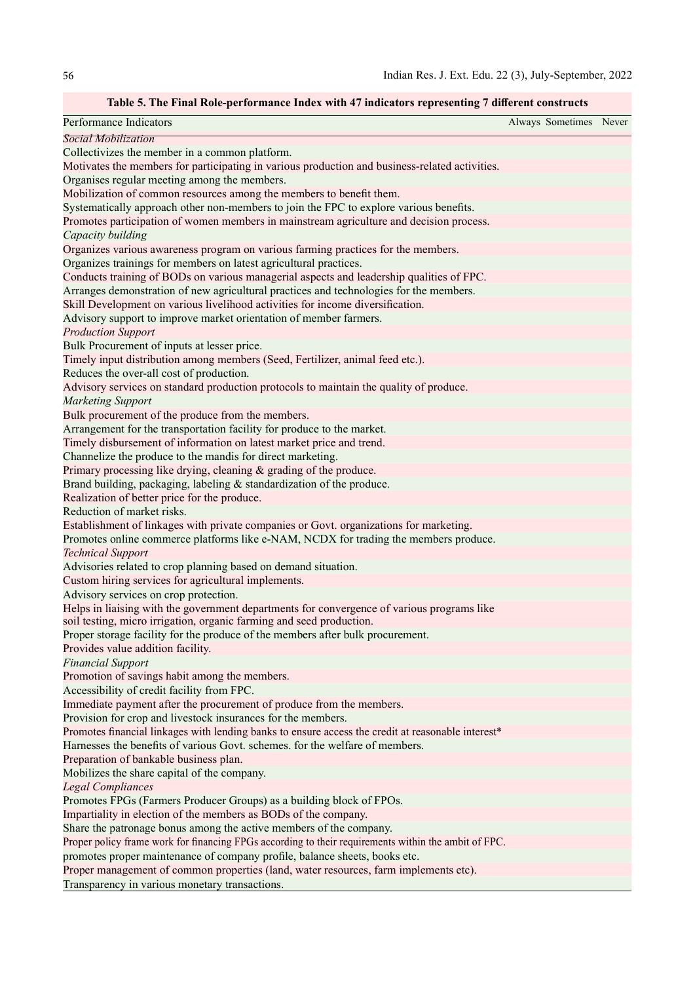# Table 5. The Final Role-performance Index with 47 indicators representing 7 different constructs

| Performance Indicators                                                                                                                                 | Always Sometimes Never |  |
|--------------------------------------------------------------------------------------------------------------------------------------------------------|------------------------|--|
| Social Mobilization                                                                                                                                    |                        |  |
| Collectivizes the member in a common platform.                                                                                                         |                        |  |
| Motivates the members for participating in various production and business-related activities.                                                         |                        |  |
| Organises regular meeting among the members.                                                                                                           |                        |  |
| Mobilization of common resources among the members to benefit them.                                                                                    |                        |  |
| Systematically approach other non-members to join the FPC to explore various benefits.                                                                 |                        |  |
| Promotes participation of women members in mainstream agriculture and decision process.                                                                |                        |  |
| Capacity building                                                                                                                                      |                        |  |
| Organizes various awareness program on various farming practices for the members.                                                                      |                        |  |
| Organizes trainings for members on latest agricultural practices.                                                                                      |                        |  |
| Conducts training of BODs on various managerial aspects and leadership qualities of FPC.                                                               |                        |  |
| Arranges demonstration of new agricultural practices and technologies for the members.                                                                 |                        |  |
| Skill Development on various livelihood activities for income diversification.                                                                         |                        |  |
| Advisory support to improve market orientation of member farmers.                                                                                      |                        |  |
| <b>Production Support</b>                                                                                                                              |                        |  |
| Bulk Procurement of inputs at lesser price.                                                                                                            |                        |  |
| Timely input distribution among members (Seed, Fertilizer, animal feed etc.).                                                                          |                        |  |
| Reduces the over-all cost of production.                                                                                                               |                        |  |
| Advisory services on standard production protocols to maintain the quality of produce.                                                                 |                        |  |
| <b>Marketing Support</b>                                                                                                                               |                        |  |
| Bulk procurement of the produce from the members.                                                                                                      |                        |  |
| Arrangement for the transportation facility for produce to the market.                                                                                 |                        |  |
| Timely disbursement of information on latest market price and trend.                                                                                   |                        |  |
| Channelize the produce to the mandis for direct marketing.                                                                                             |                        |  |
| Primary processing like drying, cleaning & grading of the produce.                                                                                     |                        |  |
| Brand building, packaging, labeling & standardization of the produce.                                                                                  |                        |  |
| Realization of better price for the produce.                                                                                                           |                        |  |
| Reduction of market risks.                                                                                                                             |                        |  |
| Establishment of linkages with private companies or Govt. organizations for marketing.                                                                 |                        |  |
| Promotes online commerce platforms like e-NAM, NCDX for trading the members produce.                                                                   |                        |  |
| <b>Technical Support</b>                                                                                                                               |                        |  |
| Advisories related to crop planning based on demand situation.                                                                                         |                        |  |
| Custom hiring services for agricultural implements.                                                                                                    |                        |  |
| Advisory services on crop protection.                                                                                                                  |                        |  |
| Helps in liaising with the government departments for convergence of various programs like                                                             |                        |  |
| soil testing, micro irrigation, organic farming and seed production.<br>Proper storage facility for the produce of the members after bulk procurement. |                        |  |
| Provides value addition facility.                                                                                                                      |                        |  |
| <b>Financial Support</b>                                                                                                                               |                        |  |
| Promotion of savings habit among the members.                                                                                                          |                        |  |
| Accessibility of credit facility from FPC.                                                                                                             |                        |  |
| Immediate payment after the procurement of produce from the members.                                                                                   |                        |  |
| Provision for crop and livestock insurances for the members.                                                                                           |                        |  |
| Promotes financial linkages with lending banks to ensure access the credit at reasonable interest*                                                     |                        |  |
| Harnesses the benefits of various Govt. schemes. for the welfare of members.                                                                           |                        |  |
| Preparation of bankable business plan.                                                                                                                 |                        |  |
| Mobilizes the share capital of the company.                                                                                                            |                        |  |
| <b>Legal Compliances</b>                                                                                                                               |                        |  |
| Promotes FPGs (Farmers Producer Groups) as a building block of FPOs.                                                                                   |                        |  |
| Impartiality in election of the members as BODs of the company.                                                                                        |                        |  |
| Share the patronage bonus among the active members of the company.                                                                                     |                        |  |
| Proper policy frame work for financing FPGs according to their requirements within the ambit of FPC.                                                   |                        |  |
| promotes proper maintenance of company profile, balance sheets, books etc.                                                                             |                        |  |
| Proper management of common properties (land, water resources, farm implements etc).                                                                   |                        |  |
| Transparency in various monetary transactions.                                                                                                         |                        |  |